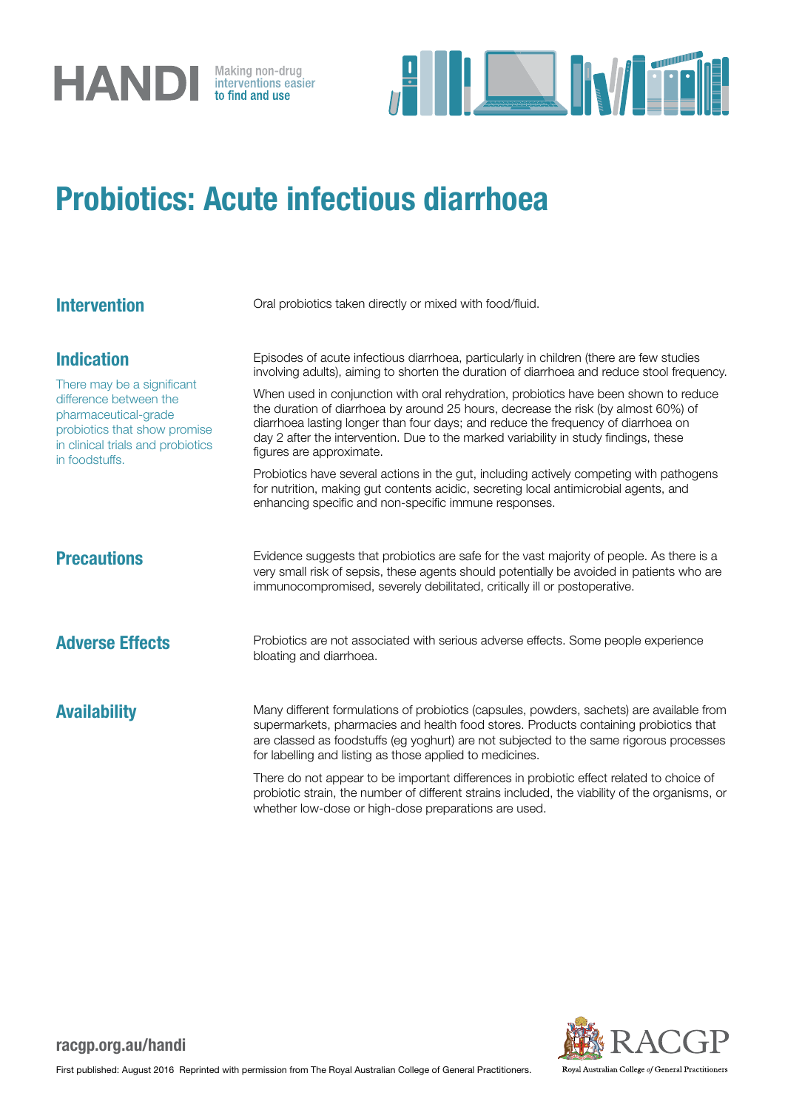



## Probiotics: Acute infectious diarrhoea

| <b>Intervention</b>                                                                                                                                                                      | Oral probiotics taken directly or mixed with food/fluid.                                                                                                                                                                                                                                                                                                                                                                                                                                                                                                                                                                                                                                                                                                                                                                 |
|------------------------------------------------------------------------------------------------------------------------------------------------------------------------------------------|--------------------------------------------------------------------------------------------------------------------------------------------------------------------------------------------------------------------------------------------------------------------------------------------------------------------------------------------------------------------------------------------------------------------------------------------------------------------------------------------------------------------------------------------------------------------------------------------------------------------------------------------------------------------------------------------------------------------------------------------------------------------------------------------------------------------------|
| <b>Indication</b><br>There may be a significant<br>difference between the<br>pharmaceutical-grade<br>probiotics that show promise<br>in clinical trials and probiotics<br>in foodstuffs. | Episodes of acute infectious diarrhoea, particularly in children (there are few studies<br>involving adults), aiming to shorten the duration of diarrhoea and reduce stool frequency.<br>When used in conjunction with oral rehydration, probiotics have been shown to reduce<br>the duration of diarrhoea by around 25 hours, decrease the risk (by almost 60%) of<br>diarrhoea lasting longer than four days; and reduce the frequency of diarrhoea on<br>day 2 after the intervention. Due to the marked variability in study findings, these<br>figures are approximate.<br>Probiotics have several actions in the gut, including actively competing with pathogens<br>for nutrition, making gut contents acidic, secreting local antimicrobial agents, and<br>enhancing specific and non-specific immune responses. |
| <b>Precautions</b>                                                                                                                                                                       | Evidence suggests that probiotics are safe for the vast majority of people. As there is a<br>very small risk of sepsis, these agents should potentially be avoided in patients who are<br>immunocompromised, severely debilitated, critically ill or postoperative.                                                                                                                                                                                                                                                                                                                                                                                                                                                                                                                                                      |
| <b>Adverse Effects</b>                                                                                                                                                                   | Probiotics are not associated with serious adverse effects. Some people experience<br>bloating and diarrhoea.                                                                                                                                                                                                                                                                                                                                                                                                                                                                                                                                                                                                                                                                                                            |
| <b>Availability</b>                                                                                                                                                                      | Many different formulations of probiotics (capsules, powders, sachets) are available from<br>supermarkets, pharmacies and health food stores. Products containing probiotics that<br>are classed as foodstuffs (eg yoghurt) are not subjected to the same rigorous processes<br>for labelling and listing as those applied to medicines.                                                                                                                                                                                                                                                                                                                                                                                                                                                                                 |
|                                                                                                                                                                                          | There do not appear to be important differences in probiotic effect related to choice of<br>probiotic strain, the number of different strains included, the viability of the organisms, or<br>whether low-dose or high-dose preparations are used.                                                                                                                                                                                                                                                                                                                                                                                                                                                                                                                                                                       |



## racgp.org.au/handi

First published: August 2016 Reprinted with permission from The Royal Australian College of General Practitioners.